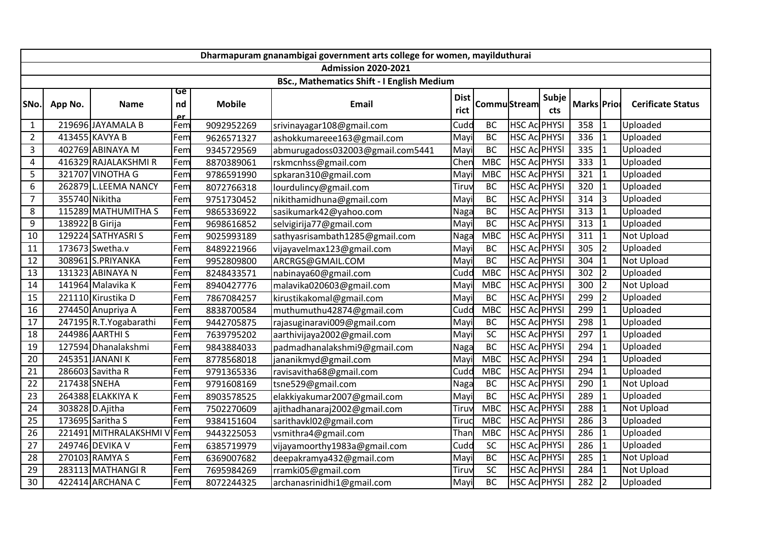|                 | Dharmapuram gnanambigai government arts college for women, mayilduthurai |                         |                       |               |                                                   |                     |                     |                     |                     |             |                |                          |  |
|-----------------|--------------------------------------------------------------------------|-------------------------|-----------------------|---------------|---------------------------------------------------|---------------------|---------------------|---------------------|---------------------|-------------|----------------|--------------------------|--|
|                 |                                                                          |                         |                       |               | <b>Admission 2020-2021</b>                        |                     |                     |                     |                     |             |                |                          |  |
|                 |                                                                          |                         |                       |               | <b>BSc., Mathematics Shift - I English Medium</b> |                     |                     |                     |                     |             |                |                          |  |
| SNo.            | App No.                                                                  | <b>Name</b>             | Ge<br>nd<br><u>er</u> | <b>Mobile</b> | <b>Email</b>                                      | <b>Dist</b><br>rict | <b>Commu</b> Stream |                     | Subje<br><b>cts</b> | Marks Prior |                | <b>Cerificate Status</b> |  |
| $\mathbf{1}$    |                                                                          | 219696 JAYAMALA B       | Fem                   | 9092952269    | srivinayagar108@gmail.com                         | Cudd                | <b>BC</b>           | <b>HSC Ac PHYSI</b> |                     | 358         | $\mathbf{1}$   | Uploaded                 |  |
| $\overline{2}$  |                                                                          | 413455 KAVYA B          | Fem                   | 9626571327    | ashokkumareee163@gmail.com                        | Mayi                | <b>BC</b>           | <b>HSC Ac PHYSI</b> |                     | 336         | $\overline{1}$ | Uploaded                 |  |
| 3               |                                                                          | 402769 ABINAYA M        | Fem                   | 9345729569    | abmurugadoss032003@gmail.com5441                  | Mayi                | <b>BC</b>           | <b>HSC Ac PHYSI</b> |                     | 335         | $\mathbf{1}$   | Uploaded                 |  |
| 4               |                                                                          | 416329 RAJALAKSHMI R    | Fem                   | 8870389061    | rskmcnhss@gmail.com                               | Chen                | <b>MBC</b>          | <b>HSC Ac PHYSI</b> |                     | 333         | $\overline{1}$ | Uploaded                 |  |
| 5               |                                                                          | 321707 VINOTHA G        | Fem                   | 9786591990    | spkaran310@gmail.com                              | Mayi                | <b>MBC</b>          | <b>HSC Ac PHYSI</b> |                     | 321         | $\overline{1}$ | Uploaded                 |  |
| 6               |                                                                          | 262879 L.LEEMA NANCY    | Fem                   | 8072766318    | lourdulincy@gmail.com                             | Tiruv               | <b>BC</b>           | <b>HSC Ac PHYSI</b> |                     | 320         | $\overline{1}$ | Uploaded                 |  |
| $\overline{7}$  | 355740 Nikitha                                                           |                         | Fem                   | 9751730452    | nikithamidhuna@gmail.com                          | Mayi                | <b>BC</b>           | <b>HSC Ac PHYSI</b> |                     | 314         | 3              | Uploaded                 |  |
| 8               |                                                                          | 115289 MATHUMITHA S     | Fem                   | 9865336922    | sasikumark42@yahoo.com                            | Naga                | <b>BC</b>           | <b>HSC AC PHYSI</b> |                     | 313         | $\overline{1}$ | Uploaded                 |  |
| 9               | 138922 B Girija                                                          |                         | Fem                   | 9698616852    | selvigirija77@gmail.com                           | Mayi                | <b>BC</b>           | <b>HSC Ac PHYSI</b> |                     | 313         | $\overline{1}$ | Uploaded                 |  |
| 10              |                                                                          | 129224 SATHYASRIS       | Fem                   | 9025993189    | sathyasrisambath1285@gmail.com                    | Naga                | <b>MBC</b>          | <b>HSC Ac PHYSI</b> |                     | 311         | $\overline{1}$ | Not Upload               |  |
| 11              |                                                                          | 173673 Swetha.v         | Fem                   | 8489221966    | vijayavelmax123@gmail.com                         | Mayi                | <b>BC</b>           | <b>HSC Ac PHYSI</b> |                     | 305         | $\overline{2}$ | Uploaded                 |  |
| 12              |                                                                          | 308961 S.PRIYANKA       | Fem                   | 9952809800    | ARCRGS@GMAIL.COM                                  | Mayi                | <b>BC</b>           | <b>HSC AC PHYSI</b> |                     | 304         | $\mathbf{1}$   | Not Upload               |  |
| 13              |                                                                          | 131323 ABINAYA N        | Fem                   | 8248433571    | nabinaya60@gmail.com                              | Cudd                | <b>MBC</b>          | <b>HSC AC PHYSI</b> |                     | 302         | $\overline{2}$ | Uploaded                 |  |
| 14              |                                                                          | 141964 Malavika K       | Fem                   | 8940427776    | malavika020603@gmail.com                          | Mayi                | <b>MBC</b>          | <b>HSC Ac PHYSI</b> |                     | 300         | $\overline{2}$ | Not Upload               |  |
| 15              |                                                                          | 221110 Kirustika D      | Fem                   | 7867084257    | kirustikakomal@gmail.com                          | Mayi                | <b>BC</b>           | <b>HSC Ac PHYSI</b> |                     | 299         | $\overline{2}$ | Uploaded                 |  |
| 16              |                                                                          | 274450 Anupriya A       | Fem                   | 8838700584    | muthumuthu42874@gmail.com                         | Cudd                | <b>MBC</b>          | <b>HSC Ac PHYSI</b> |                     | 299         | $\mathbf{1}$   | Uploaded                 |  |
| 17              |                                                                          | 247195 R.T. Yogabarathi | Fem                   | 9442705875    | rajasuginaravi009@gmail.com                       | Mayi                | <b>BC</b>           | HSC Ac PHYSI        |                     | 298         | $\overline{1}$ | Uploaded                 |  |
| 18              |                                                                          | 244986 AARTHI S         | Fem                   | 7639795202    | aarthivijaya2002@gmail.com                        | Mayi                | $\overline{SC}$     | <b>HSC Ac PHYSI</b> |                     | 297         | $\overline{1}$ | Uploaded                 |  |
| 19              |                                                                          | 127594 Dhanalakshmi     | Fem                   | 9843884033    | padmadhanalakshmi9@gmail.com                      | Naga                | <b>BC</b>           | <b>HSC Ac PHYSI</b> |                     | 294         | $\mathbf{1}$   | Uploaded                 |  |
| 20              |                                                                          | 245351 JANANIK          | Fem                   | 8778568018    | jananikmyd@gmail.com                              | Mayi                | <b>MBC</b>          | <b>HSC Ac PHYSI</b> |                     | 294         | $\mathbf{1}$   | Uploaded                 |  |
| 21              |                                                                          | 286603 Savitha R        | Fem                   | 9791365336    | ravisavitha68@gmail.com                           | Cudd                | <b>MBC</b>          | <b>HSC AC PHYSI</b> |                     | 294         | $\mathbf{1}$   | Uploaded                 |  |
| 22              | 217438 SNEHA                                                             |                         | Fem                   | 9791608169    | tsne529@gmail.com                                 | Naga                | <b>BC</b>           | <b>HSC AC PHYSI</b> |                     | 290         | $\mathbf{1}$   | Not Upload               |  |
| 23              |                                                                          | 264388 ELAKKIYA K       | Fem                   | 8903578525    | elakkiyakumar2007@gmail.com                       | Mayi                | <b>BC</b>           | <b>HSC Ac PHYSI</b> |                     | 289         | $\mathbf{1}$   | Uploaded                 |  |
| 24              |                                                                          | 303828 D.Ajitha         | Fem                   | 7502270609    | ajithadhanaraj2002@gmail.com                      | Tiruv               | <b>MBC</b>          | HSC Ac PHYSI        |                     | 288         | $\overline{1}$ | Not Upload               |  |
| $\overline{25}$ |                                                                          | 173695 Saritha S        | Fem                   | 9384151604    | sarithavkl02@gmail.com                            | Tiruc               | <b>MBC</b>          | <b>HSC Ac PHYSI</b> |                     | 286         | 3              | Uploaded                 |  |
| 26              |                                                                          | 221491 MITHRALAKSHMI V  | Fem                   | 9443225053    | vsmithra4@gmail.com                               | Than                | <b>MBC</b>          | <b>HSC Ac PHYSI</b> |                     | 286         | $\overline{1}$ | Uploaded                 |  |
| 27              |                                                                          | 249746 DEVIKA V         | Fem                   | 6385719979    | vijayamoorthy1983a@gmail.com                      | Cudd                | <b>SC</b>           | <b>HSC Ac PHYSI</b> |                     | 286         | $\overline{1}$ | Uploaded                 |  |
| 28              |                                                                          | 270103 RAMYA S          | Fem                   | 6369007682    | deepakramya432@gmail.com                          | Mayi                | BC                  | <b>HSC Ac PHYSI</b> |                     | 285         | $\mathbf{1}$   | Not Upload               |  |
| 29              |                                                                          | 283113 MATHANGIR        | Fem                   | 7695984269    | rramki05@gmail.com                                | Tiruv               | SC                  | <b>HSC Ac PHYSI</b> |                     | 284         | $\overline{1}$ | Not Upload               |  |
| 30              |                                                                          | 422414 ARCHANA C        | Fem                   | 8072244325    | archanasrinidhi1@gmail.com                        | Mayi                | <b>BC</b>           | <b>HSC Ac PHYSI</b> |                     | 282         | $\overline{2}$ | Uploaded                 |  |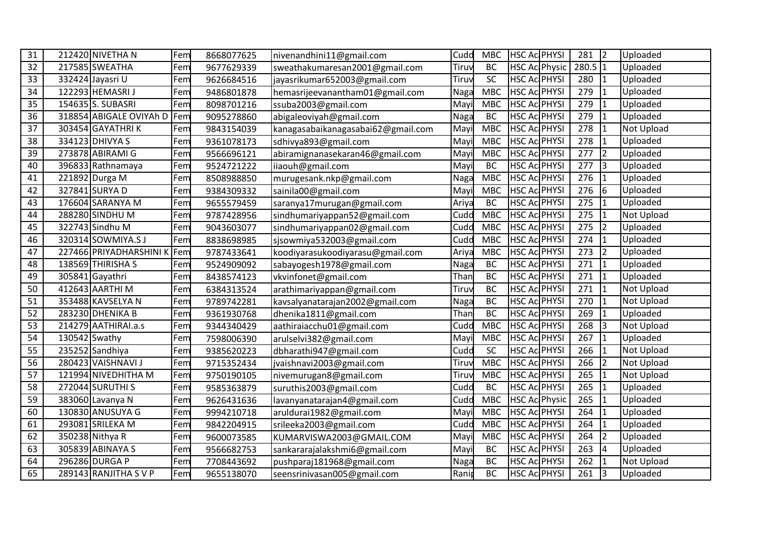| 31 |               | 212420 NIVETHA N        | Fem | 8668077625 | nivenandhini11@gmail.com           | Cudd  | <b>MBC</b> | <b>HSC Ac PHYSI</b>   | 281              | $\overline{2}$ | Uploaded          |
|----|---------------|-------------------------|-----|------------|------------------------------------|-------|------------|-----------------------|------------------|----------------|-------------------|
| 32 |               | 217585 SWEATHA          | Fem | 9677629339 | sweathakumaresan2001@gmail.com     | Tiruv | <b>BC</b>  | <b>HSC Ac Physic</b>  | 280.5            | $\vert$ 1      | Uploaded          |
| 33 |               | 332424 Jayasri U        | Fem | 9626684516 | jayasrikumar652003@gmail.com       | Tiruv | SC         | <b>HSC Ac PHYSI</b>   | 280              | $\overline{1}$ | Uploaded          |
| 34 |               | 122293 HEMASRI J        | Fem | 9486801878 | hemasrijeevanantham01@gmail.com    | Naga  | <b>MBC</b> | <b>HSC Ac PHYSI</b>   | 279              | $\overline{1}$ | Uploaded          |
| 35 |               | 154635 S. SUBASRI       | Fem | 8098701216 | ssuba2003@gmail.com                | Mayi  | <b>MBC</b> | <b>HSC AC PHYSI</b>   | $\overline{279}$ | $\overline{1}$ | Uploaded          |
| 36 |               | 318854 ABIGALE OVIYAh D | Fem | 9095278860 | abigaleoviyah@gmail.com            | Naga  | <b>BC</b>  | <b>HSC AC PHYSI</b>   | 279              | $\overline{1}$ | Uploaded          |
| 37 |               | 303454 GAYATHRIK        | Fem | 9843154039 | kanagasabaikanagasabai62@gmail.com | Mayi  | <b>MBC</b> | <b>HSC Ac PHYSI</b>   | 278              | $\mathbf{1}$   | <b>Not Upload</b> |
| 38 |               | 334123 DHIVYA S         | Fem | 9361078173 | sdhivya893@gmail.com               | Mayi  | <b>MBC</b> | <b>HSC Ac PHYSI</b>   | 278              | $\mathbf{1}$   | Uploaded          |
| 39 |               | 273878 ABIRAMI G        | Fem | 9566696121 | abiramignanasekaran46@gmail.com    | Mayi  | <b>MBC</b> | <b>HSC Ac PHYSI</b>   | 277              | $\overline{2}$ | Uploaded          |
| 40 |               | 396833 Rathnamaya       | Fem | 9524721222 | iiaouh@gmail.com                   | Mayi  | <b>BC</b>  | <b>HSC Ac PHYSI</b>   | 277              | lз             | Uploaded          |
| 41 |               | 221892 Durga M          | Fem | 8508988850 | murugesank.nkp@gmail.com           | Naga  | <b>MBC</b> | <b>HSC Ac PHYSI</b>   | 276              | $\mathbf{1}$   | Uploaded          |
| 42 |               | 327841 SURYA D          | Fem | 9384309332 | sainila00@gmail.com                | Mayi  | <b>MBC</b> | <b>HSC Ac PHYSI</b>   | 276              | 6              | Uploaded          |
| 43 |               | 176604 SARANYA M        | Fem | 9655579459 | saranya17murugan@gmail.com         | Ariya | <b>BC</b>  | <b>HSC Ac PHYSI</b>   | 275              | $\overline{1}$ | Uploaded          |
| 44 |               | 288280 SINDHU M         | Fem | 9787428956 | sindhumariyappan52@gmail.com       | Cudd  | <b>MBC</b> | <b>HSC AC PHYSI</b>   | 275              | $\overline{1}$ | <b>Not Upload</b> |
| 45 |               | 322743 Sindhu M         | Fem | 9043603077 | sindhumariyappan02@gmail.com       | Cudd  | <b>MBC</b> | <b>HSC Ac PHYSI</b>   | 275              | $\overline{2}$ | Uploaded          |
| 46 |               | 320314 SOWMIYA.S J      | Fem | 8838698985 | sjsowmiya532003@gmail.com          | Cudd  | <b>MBC</b> | <b>HSC Ac PHYSI</b>   | 274              | $\mathbf{1}$   | Uploaded          |
| 47 |               | 227466 PRIYADHARSHINI K | Fem | 9787433641 | koodiyarasukoodiyarasu@gmail.com   | Ariya | <b>MBC</b> | <b>HSC Ac PHYSI</b>   | 273              | $\overline{2}$ | Uploaded          |
| 48 |               | 138569 THIRISHA S       | Fem | 9524909092 | sabayogesh1978@gmail.com           | Naga  | <b>BC</b>  | <b>HSC Ac PHYSI</b>   | 271              | $\overline{1}$ | Uploaded          |
| 49 |               | 305841 Gayathri         | Fem | 8438574123 | vkvinfonet@gmail.com               | Than  | <b>BC</b>  | <b>HSC Ac PHYSI</b>   | 271              | $\overline{1}$ | Uploaded          |
| 50 |               | 412643 AARTHI M         | Fem | 6384313524 | arathimariyappan@gmail.com         | Tiruv | <b>BC</b>  | <b>HSC Ac PHYSI</b>   | 271              | $\overline{1}$ | Not Upload        |
| 51 |               | 353488 KAVSELYA N       | Fem | 9789742281 | kavsalyanatarajan2002@gmail.com    | Naga  | <b>BC</b>  | <b>HSC Ac PHYSI</b>   | 270              | $\overline{1}$ | <b>Not Upload</b> |
| 52 |               | 283230 DHENIKA B        | Fem | 9361930768 | dhenika1811@gmail.com              | Than  | <b>BC</b>  | <b>HSC Ac PHYSI</b>   | 269              | $\mathbf{1}$   | Uploaded          |
| 53 |               | 214279 AATHIRAI.a.s     | Fem | 9344340429 | aathiraiacchu01@gmail.com          | Cudd  | <b>MBC</b> | <b>HSC Ac PHYSI</b>   | 268              | 3              | Not Upload        |
| 54 | 130542 Swathy |                         | Fem | 7598006390 | arulselvi382@gmail.com             | Mayi  | <b>MBC</b> | <b>HSC Ac PHYSI</b>   | 267              | $\mathbf{1}$   | Uploaded          |
| 55 |               | 235252 Sandhiya         | Fem | 9385620223 | dbharathi947@gmail.com             | Cudd  | SC         | <b>HSC AC PHYSI</b>   | 266              | $\mathbf{1}$   | Not Upload        |
| 56 |               | 280423 VAISHNAVI J      | Fem | 9715352434 | jvaishnavi2003@gmail.com           | Tiruv | <b>MBC</b> | <b>HSC Ac PHYSI</b>   | 266              | $\overline{2}$ | <b>Not Upload</b> |
| 57 |               | 121994 NIVEDHITHA M     | Fem | 9750190105 | nivemurugan8@gmail.com             | Tiruv | <b>MBC</b> | <b>HSC Ac PHYSI</b>   | 265              | $\mathbf{1}$   | <b>Not Upload</b> |
| 58 |               | 272044 SURUTHI S        | Fem | 9585363879 | suruthis2003@gmail.com             | Cudd  | <b>BC</b>  | <b>HSC Ac PHYSI</b>   | 265              | $\overline{1}$ | Uploaded          |
| 59 |               | 383060 Lavanya N        | Fem | 9626431636 | lavanyanatarajan4@gmail.com        | Cudd  | <b>MBC</b> | <b>HSC Aci Physic</b> | 265              | $\mathbf{1}$   | Uploaded          |
| 60 |               | 130830 ANUSUYA G        | Fem | 9994210718 | aruldurai1982@gmail.com            | Mayi  | <b>MBC</b> | <b>HSC Ac PHYSI</b>   | 264              | $\mathbf{1}$   | Uploaded          |
| 61 |               | 293081 SRILEKA M        | Fem | 9842204915 | srileeka2003@gmail.com             | Cudd  | <b>MBC</b> | <b>HSC Ac PHYSI</b>   | 264              | $\mathbf{1}$   | Uploaded          |
| 62 |               | 350238 Nithya R         | Fem | 9600073585 | KUMARVISWA2003@GMAIL.COM           | Mayi  | <b>MBC</b> | <b>HSC Ac PHYSI</b>   | 264              | $\overline{2}$ | Uploaded          |
| 63 |               | 305839 ABINAYA S        | Fem | 9566682753 | sankararajalakshmi6@gmail.com      | Mayi  | BC         | <b>HSC Ac PHYSI</b>   | 263              | $\overline{4}$ | Uploaded          |
| 64 |               | 296286 DURGA P          | Fem | 7708443692 | pushparaj181968@gmail.com          | Naga  | <b>BC</b>  | <b>HSC Ac PHYSI</b>   | 262              | $\mathbf{1}$   | Not Upload        |
| 65 |               | 289143 RANJITHA S V P   | Fem | 9655138070 | seensrinivasan005@gmail.com        | Ranip | BC         | <b>HSC AC PHYSI</b>   | 261              | Ιa             | Uploaded          |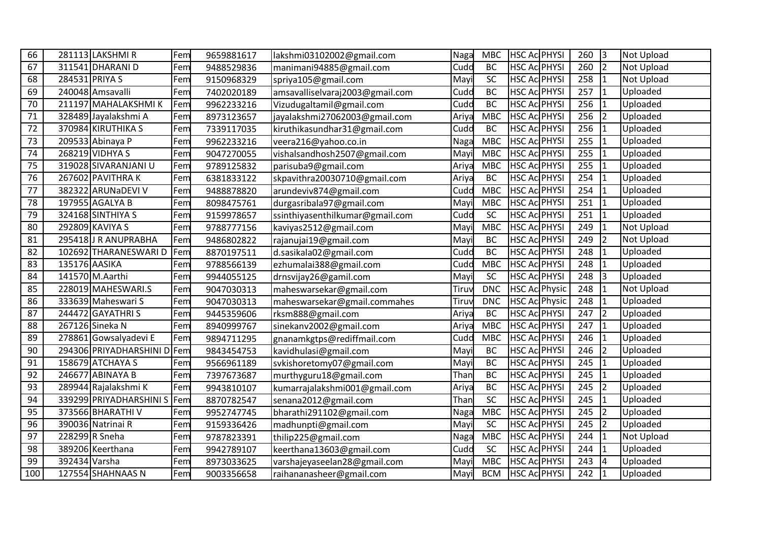| 66  |                | 281113 LAKSHMI R        | Fem | 9659881617 | lakshmi03102002@gmail.com       | Naga  | <b>MBC</b>      | <b>HSC Ac PHYSI</b>  | 260              | $\overline{3}$ | <b>Not Upload</b> |
|-----|----------------|-------------------------|-----|------------|---------------------------------|-------|-----------------|----------------------|------------------|----------------|-------------------|
| 67  |                | 311541 DHARANI D        | Fem | 9488529836 | manimani94885@gmail.com         | Cudd  | <b>BC</b>       | <b>HSC Ac PHYSI</b>  | 260              | $\overline{2}$ | Not Upload        |
| 68  | 284531 PRIYA S |                         | Fem | 9150968329 | spriya105@gmail.com             | Mayi  | SC              | <b>HSC Ac PHYSI</b>  | 258              | $\mathbf{1}$   | <b>Not Upload</b> |
| 69  |                | 240048 Amsavalli        | Fem | 7402020189 | amsavalliselvaraj2003@gmail.com | Cudd  | <b>BC</b>       | <b>HSC Ac PHYSI</b>  | 257              | $\mathbf{1}$   | Uploaded          |
| 70  |                | 211197 MAHALAKSHMIK     | Fem | 9962233216 | Vizudugaltamil@gmail.com        | Cudd  | <b>BC</b>       | <b>HSC Ac PHYSI</b>  | $\overline{256}$ | $\mathbf{1}$   | Uploaded          |
| 71  |                | 328489 Jayalakshmi A    | Fem | 8973123657 | jayalakshmi27062003@gmail.com   | Ariya | <b>MBC</b>      | <b>HSC AC PHYSI</b>  | 256              | $\overline{2}$ | Uploaded          |
| 72  |                | 370984 KIRUTHIKA S      | Fem | 7339117035 | kiruthikasundhar31@gmail.com    | Cudd  | <b>BC</b>       | <b>HSC Ac PHYSI</b>  | 256              | $\mathbf{1}$   | Uploaded          |
| 73  |                | 209533 Abinaya P        | Fem | 9962233216 | veera216@yahoo.co.in            | Naga  | <b>MBC</b>      | <b>HSC Ac PHYSI</b>  | 255              | $\mathbf{1}$   | Uploaded          |
| 74  |                | 268219 VIDHYA S         | Fem | 9047270055 | vishalsandhosh2507@gmail.com    | Mayi  | <b>MBC</b>      | <b>HSC Ac PHYSI</b>  | 255              | $\overline{1}$ | Uploaded          |
| 75  |                | 319028 SIVARANJANI U    | Fem | 9789125832 | parisuba9@gmail.com             | Ariya | <b>MBC</b>      | <b>HSC Ac PHYSI</b>  | 255              | $\overline{1}$ | Uploaded          |
| 76  |                | 267602 PAVITHRAK        | Fem | 6381833122 | skpavithra20030710@gmail.com    | Ariya | <b>BC</b>       | <b>HSC AC PHYSI</b>  | 254              | $\mathbf{1}$   | Uploaded          |
| 77  |                | 382322 ARUNaDEVI V      | Fem | 9488878820 | arundeviv874@gmail.com          | Cudd  | <b>MBC</b>      | <b>HSC Ac PHYSI</b>  | 254              | $\mathbf{1}$   | Uploaded          |
| 78  |                | 197955 AGALYA B         | Fem | 8098475761 | durgasribala97@gmail.com        | Mayi  | <b>MBC</b>      | <b>HSC Ac PHYSI</b>  | 251              | $\overline{1}$ | Uploaded          |
| 79  |                | 324168 SINTHIYA S       | Fem | 9159978657 | ssinthiyasenthilkumar@gmail.com | Cudd  | SC              | <b>HSC AC PHYSI</b>  | 251              | $\overline{1}$ | Uploaded          |
| 80  |                | 292809 KAVIYA S         | Fem | 9788777156 | kaviyas2512@gmail.com           | Mayi  | <b>MBC</b>      | <b>HSC Ac PHYSI</b>  | 249              | $\mathbf{1}$   | Not Upload        |
| 81  |                | 295418J R ANUPRABHA     | Fem | 9486802822 | rajanujai19@gmail.com           | Mayi  | <b>BC</b>       | <b>HSC Ac PHYSI</b>  | 249              | $\overline{2}$ | Not Upload        |
| 82  |                | 102692 THARANESWARI D   | Fem | 8870197511 | d.sasikala02@gmail.com          | Cudd  | <b>BC</b>       | <b>HSC Ac PHYSI</b>  | 248              | $\overline{1}$ | Uploaded          |
| 83  | 135176 AASIKA  |                         | Fem | 9788566139 | ezhumalai388@gmail.com          | Cudd  | <b>MBC</b>      | <b>HSC Ac PHYSI</b>  | 248              | $\mathbf{1}$   | Uploaded          |
| 84  |                | 141570 M.Aarthi         | Fem | 9944055125 | drnsvijay26@gamil.com           | Mayi  | <b>SC</b>       | <b>HSC Ac PHYSI</b>  | 248              | $\overline{3}$ | Uploaded          |
| 85  |                | 228019 MAHESWARI.S      | Fem | 9047030313 | maheswarsekar@gmail.com         | Tiruv | <b>DNC</b>      | <b>HSC Ac Physic</b> | 248              | $\mathbf{1}$   | Not Upload        |
| 86  |                | 333639 Maheswari S      | Fem | 9047030313 | maheswarsekar@gmail.commahes    | Tiruy | <b>DNC</b>      | <b>HSC Ac Physic</b> | 248              | $\overline{1}$ | Uploaded          |
| 87  |                | 244472 GAYATHRI S       | Fem | 9445359606 | rksm888@gmail.com               | Ariya | <b>BC</b>       | <b>HSC Ac PHYSI</b>  | 247              | $\overline{2}$ | Uploaded          |
| 88  |                | 267126 Sineka N         | Fem | 8940999767 | sinekanv2002@gmail.com          | Ariya | <b>MBC</b>      | <b>HSC Ac PHYSI</b>  | 247              | $\overline{1}$ | Uploaded          |
| 89  |                | 278861 Gowsalyadevi E   | Fem | 9894711295 | gnanamkgtps@rediffmail.com      | Cudd  | <b>MBC</b>      | <b>HSC Ac PHYSI</b>  | 246              | $\overline{1}$ | Uploaded          |
| 90  |                | 294306 PRIYADHARSHINI D | Fem | 9843454753 | kavidhulasi@gmail.com           | Mayi  | <b>BC</b>       | <b>HSC AC PHYSI</b>  | 246              | $\overline{2}$ | Uploaded          |
| 91  |                | 158679 ATCHAYA S        | Fem | 9566961189 | svkishoretomy07@gmail.com       | Mayi  | <b>BC</b>       | <b>HSC Ac PHYSI</b>  | 245              | $\overline{1}$ | Uploaded          |
| 92  |                | 246677 ABINAYA B        | Fem | 7397673687 | murthyguru18@gmail.com          | Than  | <b>BC</b>       | <b>HSC Ac PHYSI</b>  | 245              | $\mathbf{1}$   | Uploaded          |
| 93  |                | 289944 Rajalakshmi K    | Fem | 9943810107 | kumarrajalakshmi001@gmail.com   | Ariya | <b>BC</b>       | <b>HSC Ac PHYSI</b>  | 245              | $\overline{2}$ | Uploaded          |
| 94  |                | 339299 PRIYADHARSHINI S | Fem | 8870782547 | senana2012@gmail.com            | Than  | $\overline{SC}$ | <b>HSC AC PHYSI</b>  | 245              | $\overline{1}$ | Uploaded          |
| 95  |                | 373566 BHARATHI V       | Fem | 9952747745 | bharathi291102@gmail.com        | Naga  | <b>MBC</b>      | <b>HSC Ac PHYSI</b>  | 245              | $\overline{2}$ | Uploaded          |
| 96  |                | 390036 Natrinai R       | Fem | 9159336426 | madhunpti@gmail.com             | Mayi  | SC              | <b>HSC Ac PHYSI</b>  | 245              | $\overline{2}$ | Uploaded          |
| 97  |                | 228299 R Sneha          | Fem | 9787823391 | thilip225@gmail.com             | Naga  | <b>MBC</b>      | <b>HSC Ac PHYSI</b>  | 244              | $\overline{1}$ | <b>Not Upload</b> |
| 98  |                | 389206 Keerthana        | Fem | 9942789107 | keerthana13603@gmail.com        | Cudd  | SC              | <b>HSC Ac PHYSI</b>  | 244              | $\mathbf{1}$   | Uploaded          |
| 99  | 392434 Varsha  |                         | Fem | 8973033625 | varshajeyaseelan28@gmail.com    | Mayi  | <b>MBC</b>      | <b>HSC Ac PHYSI</b>  | 243              | $\overline{4}$ | Uploaded          |
| 100 |                | 127554 SHAHNAAS N       | Fem | 9003356658 | raihananasheer@gmail.com        | Mayi  | <b>BCM</b>      | <b>HSC AC PHYSI</b>  | 242              | $\mathbf{1}$   | Uploaded          |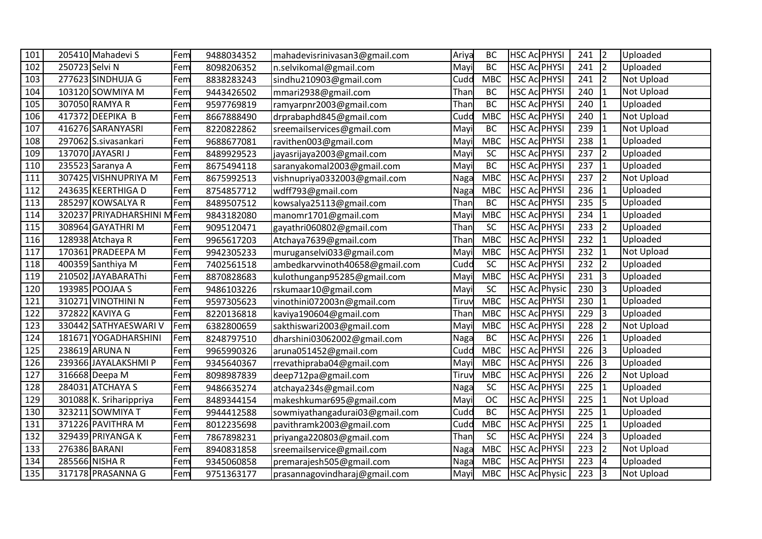| 101 |                | 205410 Mahadevi S          | Fem | 9488034352 | mahadevisrinivasan3@gmail.com  | Ariya | <b>BC</b>  | HSC Ac PHYSI         | 241 | $\overline{2}$ | Uploaded          |
|-----|----------------|----------------------------|-----|------------|--------------------------------|-------|------------|----------------------|-----|----------------|-------------------|
| 102 | 250723 Selvi N |                            | Fem | 8098206352 | n.selvikomal@gmail.com         | Mayi  | <b>BC</b>  | HSC Ac PHYSI         | 241 | $\overline{2}$ | Uploaded          |
| 103 |                | 277623 SINDHUJA G          | Fem | 8838283243 | sindhu210903@gmail.com         | Cudd  | <b>MBC</b> | HSC Ac PHYSI         | 241 | $\overline{2}$ | <b>Not Upload</b> |
| 104 |                | 103120 SOWMIYA M           | Fem | 9443426502 | mmari2938@gmail.com            | Than  | <b>BC</b>  | <b>HSC Ac PHYSI</b>  | 240 | $\mathbf{1}$   | Not Upload        |
| 105 |                | 307050 RAMYA R             | Fem | 9597769819 | ramyarpnr2003@gmail.com        | Than  | <b>BC</b>  | <b>HSC Ac PHYSI</b>  | 240 | $\overline{1}$ | Uploaded          |
| 106 |                | 417372 DEEPIKA B           | Fem | 8667888490 | drprabaphd845@gmail.com        | Cudd  | <b>MBC</b> | <b>HSC AC PHYSI</b>  | 240 | $\mathbf{1}$   | Not Upload        |
| 107 |                | 416276 SARANYASRI          | Fem | 8220822862 | sreemailservices@gmail.com     | Mayi  | <b>BC</b>  | <b>HSC Ac PHYSI</b>  | 239 | $\mathbf{1}$   | Not Upload        |
| 108 |                | 297062 S.sivasankari       | Fem | 9688677081 | ravithen003@gmail.com          | May   | <b>MBC</b> | <b>HSC Ac PHYSI</b>  | 238 | $\mathbf{1}$   | Uploaded          |
| 109 |                | 137070 JAYASRI J           | Fem | 8489929523 | jayasrijaya2003@gmail.com      | May   | <b>SC</b>  | <b>HSC Ac PHYSI</b>  | 237 | $\overline{2}$ | Uploaded          |
| 110 |                | 235523 Saranya A           | Fem | 8675494118 | saranyakomal2003@gmail.com     | Mayi  | <b>BC</b>  | <b>HSC Ac PHYSI</b>  | 237 | $\mathbf{1}$   | Uploaded          |
| 111 |                | 307425 VISHNUPRIYA M       | Fem | 8675992513 | vishnupriya0332003@gmail.com   | Naga  | <b>MBC</b> | <b>HSC AC PHYSI</b>  | 237 | $\overline{2}$ | Not Upload        |
| 112 |                | 243635 KEERTHIGA D         | Fem | 8754857712 | wdff793@gmail.com              | Naga  | <b>MBC</b> | <b>HSC AC PHYSI</b>  | 236 | $\mathbf{1}$   | Uploaded          |
| 113 |                | 285297 KOWSALYA R          | Fem | 8489507512 | kowsalya25113@gmail.com        | Than  | <b>BC</b>  | <b>HSC Ac PHYSI</b>  | 235 | $\overline{5}$ | Uploaded          |
| 114 |                | 320237 PRIYADHARSHINI MFem |     | 9843182080 | manomr1701@gmail.com           | May   | <b>MBC</b> | <b>HSC AC PHYSI</b>  | 234 | $\overline{1}$ | Uploaded          |
| 115 |                | 308964 GAYATHRI M          | Fem | 9095120471 | gayathri060802@gmail.com       | Than  | SC         | HSC Ac PHYSI         | 233 | $\overline{2}$ | Uploaded          |
| 116 |                | 128938 Atchaya R           | Fem | 9965617203 | Atchaya7639@gmail.com          | Than  | <b>MBC</b> | HSC Ac PHYSI         | 232 | $\overline{1}$ | Uploaded          |
| 117 |                | 170361 PRADEEPA M          | Fem | 9942305233 | muruganselvi033@gmail.com      | Mayi  | <b>MBC</b> | <b>HSC Ac PHYSI</b>  | 232 | $\overline{1}$ | Not Upload        |
| 118 |                | 400359 Santhiya M          | Fem | 7402561518 | ambedkarvvinoth40658@gmail.com | Cudd  | SC         | <b>HSC Ac PHYSI</b>  | 232 | $\overline{2}$ | Uploaded          |
| 119 |                | 210502 JAYABARAThi         | Fem | 8870828683 | kulothunganp95285@gmail.com    | Mayi  | <b>MBC</b> | <b>HSC Ac PHYSI</b>  | 231 | 3              | Uploaded          |
| 120 |                | 193985 POOJAA S            | Fem | 9486103226 | rskumaar10@gmail.com           | Mayi  | <b>SC</b>  | <b>HSC Ac Physic</b> | 230 | $\overline{3}$ | Uploaded          |
| 121 |                | 310271 VINOTHINI N         | Fem | 9597305623 | vinothini072003n@gmail.com     | Tiruv | <b>MBC</b> | <b>HSC Ac PHYSI</b>  | 230 | $\overline{1}$ | Uploaded          |
| 122 |                | 372822 KAVIYA G            | Fem | 8220136818 | kaviya190604@gmail.com         | Than  | <b>MBC</b> | <b>HSC Ac PHYSI</b>  | 229 | $\overline{3}$ | Uploaded          |
| 123 |                | 330442 SATHYAESWARI V      | Fem | 6382800659 | sakthiswari2003@gmail.com      | Mayi  | <b>MBC</b> | <b>HSC Ac PHYSI</b>  | 228 | $\overline{2}$ | Not Upload        |
| 124 |                | 181671 YOGADHARSHINI       | Fem | 8248797510 | dharshini03062002@gmail.com    | Naga  | <b>BC</b>  | <b>HSC Ac PHYSI</b>  | 226 | $\mathbf{1}$   | Uploaded          |
| 125 |                | 238619 ARUNA N             | Fem | 9965990326 | aruna051452@gmail.com          | Cudd  | <b>MBC</b> | <b>HSC Ac PHYSI</b>  | 226 | lЗ             | Uploaded          |
| 126 |                | 239366 JAYALAKSHMI P       | Fem | 9345640367 | rrevathipraba04@gmail.com      | May   | <b>MBC</b> | <b>HSC Ac PHYSI</b>  | 226 | $\overline{3}$ | Uploaded          |
| 127 |                | 316668 Deepa M             | Fem | 8098987839 | deep712pa@gmail.com            | Tiruv | <b>MBC</b> | <b>HSC Ac PHYSI</b>  | 226 | $\overline{2}$ | <b>Not Upload</b> |
| 128 |                | 284031 ATCHAYA S           | Fem | 9486635274 | atchaya234s@gmail.com          | Naga  | SC         | HSC Ac PHYSI         | 225 | $\mathbf{1}$   | Uploaded          |
| 129 |                | 301088 K. Sriharippriya    | Fem | 8489344154 | makeshkumar695@gmail.com       | Mayi  | <b>OC</b>  | <b>HSC AC PHYSI</b>  | 225 | $\overline{1}$ | Not Upload        |
| 130 |                | 323211 SOWMIYA T           | Fem | 9944412588 | sowmiyathangadurai03@gmail.com | Cudd  | <b>BC</b>  | <b>HSC Ac PHYSI</b>  | 225 | $\mathbf{1}$   | Uploaded          |
| 131 |                | 371226 PAVITHRA M          | Fem | 8012235698 | pavithramk2003@gmail.com       | Cudd  | <b>MBC</b> | <b>HSC Ac PHYSI</b>  | 225 | $\overline{1}$ | Uploaded          |
| 132 |                | 329439 PRIYANGA K          | Fem | 7867898231 | priyanga220803@gmail.com       | Than  | SC         | <b>HSC Ac PHYSI</b>  | 224 | $\overline{3}$ | Uploaded          |
| 133 |                | 276386 BARANI              | Fem | 8940831858 | sreemailservice@gmail.com      | Naga  | <b>MBC</b> | <b>HSC Ac PHYSI</b>  | 223 | $\overline{2}$ | Not Upload        |
| 134 |                | 285566 NISHA R             | Fem | 9345060858 | premarajesh505@gmail.com       | Naga  | <b>MBC</b> | <b>HSC AC PHYSI</b>  | 223 | $\overline{4}$ | Uploaded          |
| 135 |                | 317178 PRASANNA G          | Fem | 9751363177 | prasannagovindharaj@gmail.com  | Mayi  | <b>MBC</b> | <b>HSC Ac Physic</b> | 223 | 3              | <b>Not Upload</b> |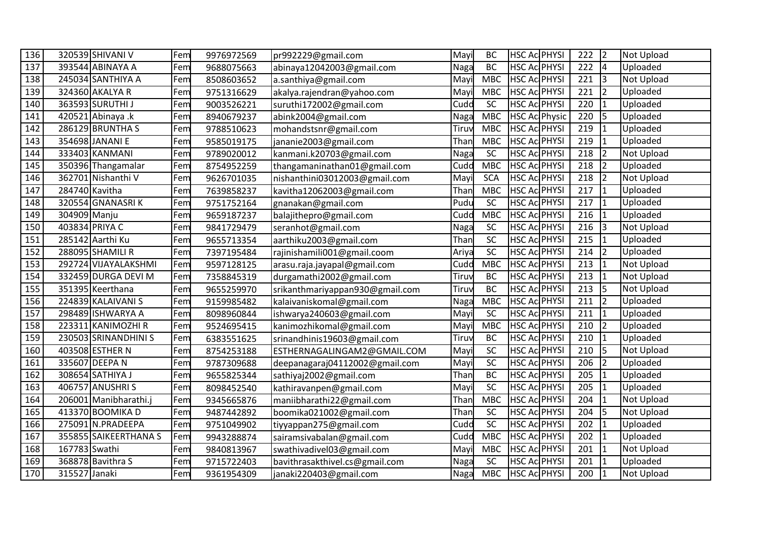| 136 |                | 320539 SHIVANI V      | Fem | 9976972569 | pr992229@gmail.com              | Mayi  | <b>BC</b>       | <b>HSC Ac PHYSI</b>  | 222 | $\overline{2}$ | <b>Not Upload</b> |
|-----|----------------|-----------------------|-----|------------|---------------------------------|-------|-----------------|----------------------|-----|----------------|-------------------|
| 137 |                | 393544 ABINAYA A      | Fem | 9688075663 | abinaya12042003@gmail.com       | Naga  | <b>BC</b>       | <b>HSC Ac PHYSI</b>  | 222 | $\overline{4}$ | Uploaded          |
| 138 |                | 245034 SANTHIYA A     | Fem | 8508603652 | a.santhiya@gmail.com            | Mayi  | <b>MBC</b>      | <b>HSC Ac PHYSI</b>  | 221 | 3              | <b>Not Upload</b> |
| 139 |                | 324360 AKALYA R       | Fem | 9751316629 | akalya.rajendran@yahoo.com      | Mayi  | <b>MBC</b>      | <b>HSC Ac PHYSI</b>  | 221 | $\overline{2}$ | Uploaded          |
| 140 |                | 363593 SURUTHI J      | Fem | 9003526221 | suruthi172002@gmail.com         | Cudd  | <b>SC</b>       | <b>HSC Ac PHYSI</b>  | 220 | $\mathbf{1}$   | Uploaded          |
| 141 |                | 420521 Abinaya .k     | Fem | 8940679237 | abink2004@gmail.com             | Naga  | <b>MBC</b>      | <b>HSC Ac Physic</b> | 220 | 5              | Uploaded          |
| 142 |                | 286129 BRUNTHA S      | Fem | 9788510623 | mohandstsnr@gmail.com           | Tiruy | <b>MBC</b>      | <b>HSC Ac PHYSI</b>  | 219 | $\mathbf{1}$   | Uploaded          |
| 143 |                | 354698 JANANI E       | Fem | 9585019175 | jananie2003@gmail.com           | Than  | <b>MBC</b>      | <b>HSC Ac PHYSI</b>  | 219 | $\mathbf{1}$   | Uploaded          |
| 144 |                | 333403 KANMANI        | Fem | 9789020012 | kanmani.k20703@gmail.com        | Naga  | SC              | <b>HSC Ac PHYSI</b>  | 218 | $\overline{2}$ | Not Upload        |
| 145 |                | 350396 Thangamalar    | Fem | 8754952259 | thangamaninathan01@gmail.com    | Cudd  | <b>MBC</b>      | <b>HSC Ac PHYSI</b>  | 218 | $\overline{2}$ | Uploaded          |
| 146 |                | 362701 Nishanthi V    | Fem | 9626701035 | nishanthini03012003@gmail.com   | Mayi  | <b>SCA</b>      | <b>HSC Ac PHYSI</b>  | 218 | $\overline{2}$ | Not Upload        |
| 147 | 284740 Kavitha |                       | Fem | 7639858237 | kavitha12062003@gmail.com       | Than  | <b>MBC</b>      | <b>HSC Ac PHYSI</b>  | 217 | $\mathbf{1}$   | Uploaded          |
| 148 |                | 320554 GNANASRIK      | Fem | 9751752164 | gnanakan@gmail.com              | Pudu  | SC              | <b>HSC Ac PHYSI</b>  | 217 | $\mathbf{1}$   | Uploaded          |
| 149 | 304909 Manju   |                       | Fem | 9659187237 | balajithepro@gmail.com          | Cudd  | <b>MBC</b>      | <b>HSC Ac PHYSI</b>  | 216 | $\mathbf{1}$   | Uploaded          |
| 150 | 403834 PRIYA C |                       | Fem | 9841729479 | seranhot@gmail.com              | Naga  | SC              | <b>HSC Ac PHYSI</b>  | 216 | 3              | Not Upload        |
| 151 |                | 285142 Aarthi Ku      | Fem | 9655713354 | aarthiku2003@gmail.com          | Than  | SC              | <b>HSC Ac PHYSI</b>  | 215 | $\mathbf{1}$   | Uploaded          |
| 152 |                | 288095 SHAMILI R      | Fem | 7397195484 | rajinishamili001@gmail.coom     | Ariya | SC              | <b>HSC Ac PHYSI</b>  | 214 | $\overline{2}$ | Uploaded          |
| 153 |                | 292724 VIJAYALAKSHMI  | Fem | 9597128125 | arasu.raja.jayapal@gmail.com    | Cudd  | <b>MBC</b>      | <b>HSC Ac PHYSI</b>  | 213 | $\mathbf{1}$   | <b>Not Upload</b> |
| 154 |                | 332459 DURGA DEVI M   | Fem | 7358845319 | durgamathi2002@gmail.com        | Tiruv | BC              | <b>HSC Ac PHYSI</b>  | 213 | $\mathbf{1}$   | Not Upload        |
| 155 |                | 351395 Keerthana      | Fem | 9655259970 | srikanthmariyappan930@gmail.com | Tiruv | <b>BC</b>       | <b>HSC Ac PHYSI</b>  | 213 | 5              | Not Upload        |
| 156 |                | 224839 KALAIVANI S    | Fem | 9159985482 | kalaivaniskomal@gmail.com       | Naga  | <b>MBC</b>      | <b>HSC Ac PHYSI</b>  | 211 | $\overline{2}$ | Uploaded          |
| 157 |                | 298489 ISHWARYA A     | Fem | 8098960844 | ishwarya240603@gmail.com        | Mayi  | SC              | <b>HSC Ac PHYSI</b>  | 211 | $\mathbf{1}$   | Uploaded          |
| 158 |                | 223311 KANIMOZHI R    | Fem | 9524695415 | kanimozhikomal@gmail.com        | Mayi  | <b>MBC</b>      | <b>HSC Ac PHYSI</b>  | 210 | $\overline{2}$ | Uploaded          |
| 159 |                | 230503 SRINANDHINI S  | Fem | 6383551625 | srinandhinis19603@gmail.com     | Tiruv | <b>BC</b>       | <b>HSC Ac PHYSI</b>  | 210 | $\mathbf{1}$   | Uploaded          |
| 160 |                | 403508 ESTHER N       | Fem | 8754253188 | ESTHERNAGALINGAM2@GMAIL.COM     | Mayi  | $\overline{SC}$ | <b>HSC Ac PHYSI</b>  | 210 | 5              | <b>Not Upload</b> |
| 161 |                | 335607 DEEPA N        | Fem | 9787309688 | deepanagaraj04112002@gmail.com  | Mayi  | SC              | <b>HSC Ac PHYSI</b>  | 206 | $\overline{2}$ | Uploaded          |
| 162 |                | 308654 SATHIYA J      | Fem | 9655825344 | sathiyaj2002@gmail.com          | Than  | <b>BC</b>       | <b>HSC Ac PHYSI</b>  | 205 | $\mathbf{1}$   | Uploaded          |
| 163 |                | 406757 ANUSHRI S      | Fem | 8098452540 | kathiravanpen@gmail.com         | Mayi  | SC              | <b>HSC Ac PHYSI</b>  | 205 | $\mathbf{1}$   | Uploaded          |
| 164 |                | 206001 Manibharathi.j | Fem | 9345665876 | maniibharathi22@gmail.com       | Than  | <b>MBC</b>      | <b>HSC AC PHYSI</b>  | 204 | $\mathbf{1}$   | <b>Not Upload</b> |
| 165 |                | 413370 BOOMIKA D      | Fem | 9487442892 | boomika021002@gmail.com         | Than  | SC              | <b>HSC Ac PHYSI</b>  | 204 | 5              | Not Upload        |
| 166 |                | 275091 N.PRADEEPA     | Fem | 9751049902 | tiyyappan275@gmail.com          | Cudd  | SC              | <b>HSC Ac PHYSI</b>  | 202 | $\mathbf{1}$   | Uploaded          |
| 167 |                | 355855 SAIKEERTHANA S | Fem | 9943288874 | sairamsivabalan@gmail.com       | Cudd  | <b>MBC</b>      | <b>HSC Ac PHYSI</b>  | 202 | $\mathbf{1}$   | Uploaded          |
| 168 | 167783 Swathi  |                       | Fem | 9840813967 | swathivadivel03@gmail.com       | Mayi  | <b>MBC</b>      | <b>HSC Ac PHYSI</b>  | 201 | $\mathbf{1}$   | Not Upload        |
| 169 |                | 368878 Bavithra S     | Fem | 9715722403 | bavithrasakthivel.cs@gmail.com  | Naga  | SC              | <b>HSC Ac PHYSI</b>  | 201 | $\mathbf{1}$   | Uploaded          |
| 170 | 315527 Janaki  |                       | Fem | 9361954309 | janaki220403@gmail.com          | Naga  | <b>MBC</b>      | <b>HSC AC PHYSI</b>  | 200 | $\mathbf{1}$   | <b>Not Upload</b> |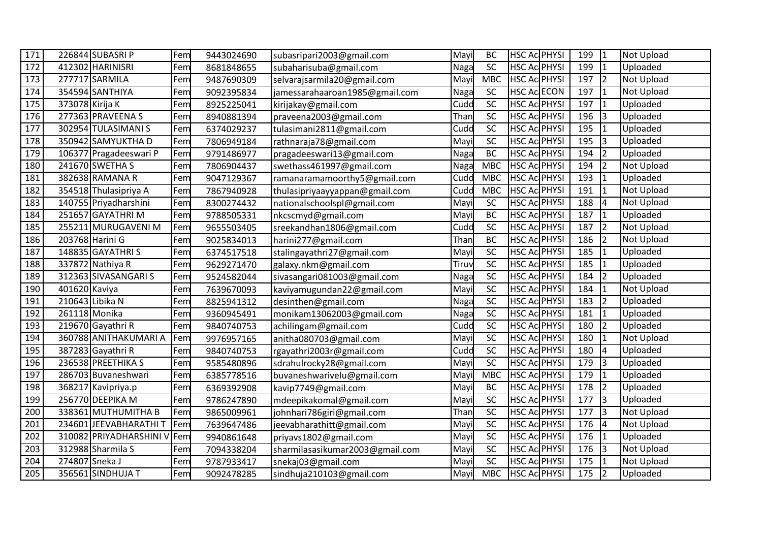| 171 |                 | 226844 SUBASRI P        | Fem | 9443024690 | subasripari2003@gmail.com       | Mayi  | <b>BC</b>       | <b>HSC Ac PHYSI</b> | 199             | $\mathbf{1}$            | <b>Not Upload</b> |
|-----|-----------------|-------------------------|-----|------------|---------------------------------|-------|-----------------|---------------------|-----------------|-------------------------|-------------------|
| 172 |                 | 412302 HARINISRI        | Fem | 8681848655 | subaharisuba@gmail.com          | Naga  | SC              | <b>HSC Ac PHYSI</b> | 199             | $\mathbf{1}$            | Uploaded          |
| 173 |                 | 277717 SARMILA          | Fem | 9487690309 | selvarajsarmila20@gmail.com     | Mayi  | <b>MBC</b>      | <b>HSC Ac PHYSI</b> | 197             | $\overline{2}$          | <b>Not Upload</b> |
| 174 |                 | 354594 SANTHIYA         | Fem | 9092395834 | jamessarahaaroan1985@gmail.com  | Naga  | SC              | <b>HSC Ac ECON</b>  | 197             | $\mathbf{1}$            | <b>Not Upload</b> |
| 175 | 373078 Kirija K |                         | Fem | 8925225041 | kirijakay@gmail.com             | Cudd  | $\overline{SC}$ | <b>HSC Ac PHYSI</b> | 197             | $\mathbf{1}$            | Uploaded          |
| 176 |                 | 277363 PRAVEENA S       | Fem | 8940881394 | praveena2003@gmail.com          | Than  | SC              | <b>HSC AC PHYSI</b> | 196             | 3                       | Uploaded          |
| 177 |                 | 302954 TULASIMANI S     | Fem | 6374029237 | tulasimani2811@gmail.com        | Cudd  | SC              | HSC Ac PHYSI        | 195             | $\overline{1}$          | Uploaded          |
| 178 |                 | 350942 SAMYUKTHA D      | Fem | 7806949184 | rathnaraja78@gmail.com          | Mayi  | SC              | <b>HSC Ac PHYSI</b> | 195             | 3                       | Uploaded          |
| 179 |                 | 106377 Pragadeeswari P  | Fem | 9791486977 | pragadeeswari13@gmail.com       | Naga  | <b>BC</b>       | HSC Ac PHYSI        | 194             | $\overline{2}$          | Uploaded          |
| 180 |                 | 241670 SWETHA S         | Fem | 7806904437 | swethass461997@gmail.com        | Naga  | <b>MBC</b>      | <b>HSC Ac PHYSI</b> | 194             | $\overline{2}$          | Not Upload        |
| 181 |                 | 382638 RAMANA R         | Fem | 9047129367 | ramanaramamoorthy5@gmail.com    | Cudd  | <b>MBC</b>      | <b>HSC Ac PHYSI</b> | 193             | $\mathbf{1}$            | Uploaded          |
| 182 |                 | 354518 Thulasipriya A   | Fem | 7867940928 | thulasipriyaayyappan@gmail.com  | Cudd  | <b>MBC</b>      | <b>HSC Ac PHYSI</b> | 191             | $\mathbf{1}$            | <b>Not Upload</b> |
| 183 |                 | 140755 Priyadharshini   | Fem | 8300274432 | nationalschoolspl@gmail.com     | Mayi  | SC              | <b>HSC Ac PHYSI</b> | 188             | $\overline{4}$          | Not Upload        |
| 184 |                 | 251657 GAYATHRI M       | Fem | 9788505331 | nkcscmyd@gmail.com              | Mayi  | <b>BC</b>       | <b>HSC Ac PHYSI</b> | 187             | $\overline{1}$          | Uploaded          |
| 185 |                 | 255211 MURUGAVENI M     | Fem | 9655503405 | sreekandhan1806@gmail.com       | Cudd  | SC              | HSC Ac PHYSI        | 187             | $\overline{2}$          | <b>Not Upload</b> |
| 186 |                 | 203768 Harini G         | Fem | 9025834013 | harini277@gmail.com             | Than  | <b>BC</b>       | <b>HSC Ac PHYSI</b> | 186             | $\overline{2}$          | Not Upload        |
| 187 |                 | 148835 GAYATHRI S       | Fem | 6374517518 | stalingayathri27@gmail.com      | Mayi  | SC              | HSC Ac PHYSI        | 185             | $\overline{1}$          | Uploaded          |
| 188 |                 | 337872 Nathiya R        | Fem | 9629271470 | galaxy.nkm@gmail.com            | Tiruv | SC              | <b>HSC Ac PHYSI</b> | 185             | $\mathbf{1}$            | Uploaded          |
| 189 |                 | 312363 SIVASANGARI S    | Fem | 9524582044 | sivasangari081003@gmail.com     | Naga  | SC              | HSC AC PHYSI        | 184             | $\overline{2}$          | Uploaded          |
| 190 | 401620 Kaviya   |                         | Fem | 7639670093 | kaviyamugundan22@gmail.com      | Mayi  | SC              | <b>HSC Ac PHYSI</b> | 184             | $\overline{1}$          | Not Upload        |
| 191 |                 | 210643 Libika N         | Fem | 8825941312 | desinthen@gmail.com             | Naga  | SC              | <b>HSC Ac PHYSI</b> | 183             | $\overline{2}$          | Uploaded          |
| 192 | 261118 Monika   |                         | Fem | 9360945491 | monikam13062003@gmail.com       | Naga  | SC              | <b>HSC AC PHYSI</b> | 181             | $\overline{1}$          | Uploaded          |
| 193 |                 | 219670 Gayathri R       | Fem | 9840740753 | achilingam@gmail.com            | Cudd  | SC              | <b>HSC Ac PHYSI</b> | 180             | $\overline{2}$          | Uploaded          |
| 194 |                 | 360788 ANITHAKUMARI A   | Fem | 9976957165 | anitha080703@gmail.com          | Mayi  | SC              | <b>HSC Ac PHYSI</b> | 180             | $\mathbf{1}$            | Not Upload        |
| 195 |                 | 387283 Gayathri R       | Fem | 9840740753 | rgayathri2003r@gmail.com        | Cudd  | $\overline{SC}$ | <b>HSC Ac PHYSI</b> | 180             | $\overline{4}$          | Uploaded          |
| 196 |                 | 236538 PREETHIKA S      | Fem | 9585480896 | sdrahulrocky28@gmail.com        | Mayi  | $\overline{SC}$ | <b>HSC Ac PHYSI</b> | 179             | 3                       | Uploaded          |
| 197 |                 | 286703 Buvaneshwari     | Fem | 6385778516 | buvaneshwarivelu@gmail.com      | Mayi  | <b>MBC</b>      | <b>HSC Ac PHYSI</b> | 179             | $\mathbf{1}$            | Uploaded          |
| 198 |                 | 368217 Kavipriya.p      | Fem | 6369392908 | kavip7749@gmail.com             | Mayi  | <b>BC</b>       | <b>HSC Ac PHYSI</b> | 178             | $\overline{2}$          | Uploaded          |
| 199 |                 | 256770 DEEPIKA M        | Fem | 9786247890 | mdeepikakomal@gmail.com         | Mayi  | SC              | <b>HSC Ac PHYSI</b> | 177             | l3                      | Uploaded          |
| 200 |                 | 338361 MUTHUMITHA B     | Fem | 9865009961 | johnhari786giri@gmail.com       | Than  | $\overline{SC}$ | <b>HSC Ac PHYSI</b> | 177             | 3                       | Not Upload        |
| 201 |                 | 234601 JEEVABHARATHI T  | Fem | 7639647486 | jeevabharathitt@gmail.com       | Mayi  | SC              | HSC Ac PHYSI        | 176             | $\overline{\mathbf{4}}$ | Not Upload        |
| 202 |                 | 310082 PRIYADHARSHINI V | Fem | 9940861648 | priyavs1802@gmail.com           | Mayi  | SC              | <b>HSC Ac PHYSI</b> | 176             | $\mathbf{1}$            | Uploaded          |
| 203 |                 | 312988 Sharmila S       | Fem | 7094338204 | sharmilasasikumar2003@gmail.com | Mayi  | SC              | <b>HSC Ac PHYSI</b> | 176             | $\overline{3}$          | <b>Not Upload</b> |
| 204 | 274807 Sneka J  |                         | Fem | 9787933417 | snekaj03@gmail.com              | Mayi  | SC              | <b>HSC Ac PHYSI</b> | 175             | $\mathbf{1}$            | Not Upload        |
| 205 |                 | 356561 SINDHUJA T       | Fem | 9092478285 | sindhuja210103@gmail.com        | Mayi  | <b>MBC</b>      | <b>HSC Ac PHYSI</b> | $\frac{175}{2}$ | $\overline{2}$          | Uploaded          |